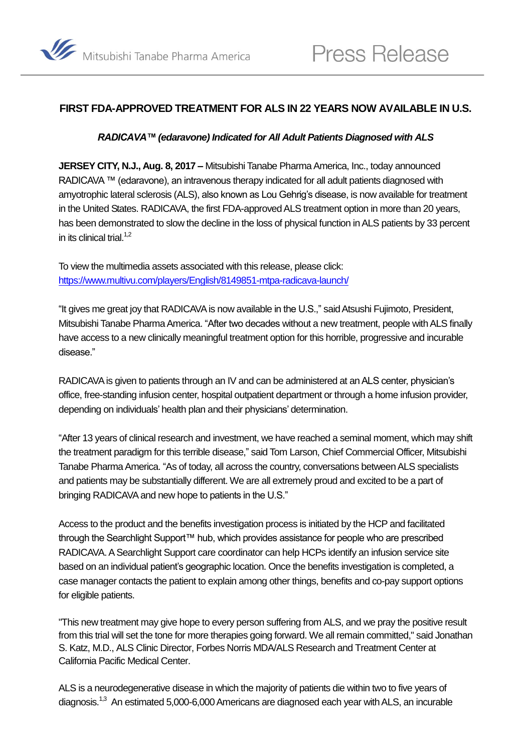

# **FIRST FDA-APPROVED TREATMENT FOR ALS IN 22 YEARS NOW AVAILABLE IN U.S.**

#### <span id="page-0-0"></span>*RADICAVA™ (edaravone) Indicated for All Adult Patients Diagnosed with ALS*

**JERSEY CITY, N.J., Aug. 8, 2017 –** Mitsubishi Tanabe Pharma America, Inc., today announced RADICAVA ™ (edaravone), an intravenous therapy indicated for all adult patients diagnosed with amyotrophic lateral sclerosis (ALS), also known as Lou Gehrig's disease, is now available for treatment in the United States. RADICAVA, the first FDA-approved ALS treatment option in more than 20 years, has been demonstrated to slow the decline in the loss of physical function in ALS patients by 33 percent in its clinical trial.<sup>1,2</sup>

To view the multimedia assets associated with this release, please click: <https://www.multivu.com/players/English/8149851-mtpa-radicava-launch/>

"It gives me great joy that RADICAVA is now available in the U.S.," said Atsushi Fujimoto, President, Mitsubishi Tanabe Pharma America. "After two decades without a new treatment, people with ALS finally have access to a new clinically meaningful treatment option for this horrible, progressive and incurable disease."

RADICAVA is given to patients through an IV and can be administered at an ALS center, physician's office, free-standing infusion center, hospital outpatient department or through a home infusion provider, depending on individuals' health plan and their physicians' determination.

"After 13 years of clinical research and investment, we have reached a seminal moment, which may shift the treatment paradigm for this terrible disease," said Tom Larson, Chief Commercial Officer, Mitsubishi Tanabe Pharma America. "As of today, all across the country, conversations between ALS specialists and patients may be substantially different. We are all extremely proud and excited to be a part of bringing RADICAVA and new hope to patients in the U.S."

Access to the product and the benefits investigation process is initiated by the HCP and facilitated through the Searchlight Support™ hub, which provides assistance for people who are prescribed RADICAVA. A Searchlight Support care coordinator can help HCPs identify an infusion service site based on an individual patient's geographic location. Once the benefits investigation is completed, a case manager contacts the patient to explain among other things, benefits and co-pay support options for eligible patients.

"This new treatment may give hope to every person suffering from ALS, and we pray the positive result from this trial will set the tone for more therapies going forward. We all remain committed," said Jonathan S. Katz, M.D., ALS Clinic Director, Forbes Norris MDA/ALS Research and Treatment Center at California Pacific Medical Center.

ALS is a neurodegenerative disease in which the majority of patients die within two to five years of diagnosis.<sup>[1,3](#page-0-0)</sup> An estimated 5,000-6,000 Americans are diagnosed each year with ALS, an incurable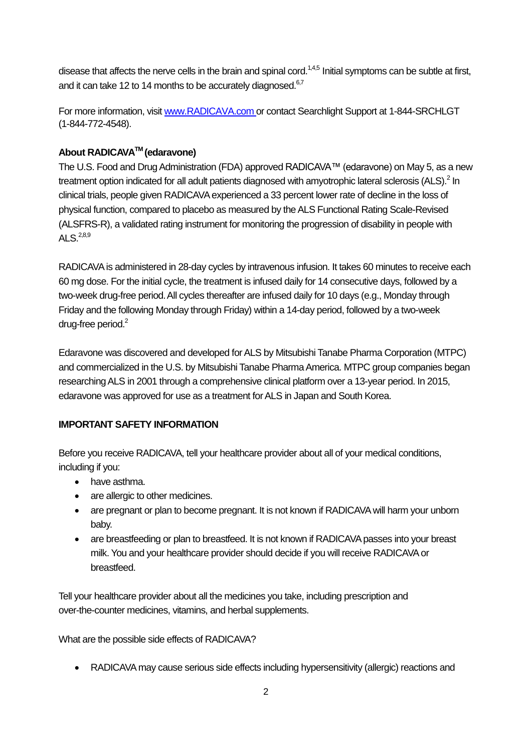disease that affects the nerve cells in the brain and spinal cord.<sup>1,4,5</sup> Initial symptoms can be subtle at first, and it can take 12 to 14 months to be accurately diagnosed. $6,7$ 

For more information, visit [www.RADICAVA.com](http://www.radicava.com/) or contact Searchlight Support at 1-844-SRCHLGT (1-844-772-4548).

# **About RADICAVATM (edaravone)**

The U.S. Food and Drug Administration (FDA) approved RADICAVA™ (edaravone) on May 5, as a new treatment option indicated for all adult patients diagnosed with amyotrophic lateral sclerosis (ALS).<sup>2</sup> In clinical trials, people given RADICAVA experienced a 33 percent lower rate of decline in the loss of physical function, compared to placebo as measured by the ALS Functional Rating Scale-Revised (ALSFRS-R), a validated rating instrument for monitoring the progression of disability in people with ALS. $^{2,8,9}$ 

RADICAVA is administered in 28-day cycles by intravenous infusion. It takes 60 minutes to receive each 60 mg dose. For the initial cycle, the treatment is infused daily for 14 consecutive days, followed by a two-week drug-free period.All cycles thereafter are infused daily for 10 days (e.g., Monday through Friday and the following Monday through Friday) within a 14-day period, followed by a two-week drug-free period.<sup>2</sup>

Edaravone was discovered and developed for ALS by Mitsubishi Tanabe Pharma Corporation (MTPC) and commercialized in the U.S. by Mitsubishi Tanabe Pharma America. MTPC group companies began researching ALS in 2001 through a comprehensive clinical platform over a 13-year period. In 2015, edaravone was approved for use as a treatment for ALS in Japan and South Korea.

### **IMPORTANT SAFETY INFORMATION**

Before you receive RADICAVA, tell your healthcare provider about all of your medical conditions, including if you:

- have asthma.
- are allergic to other medicines.
- are pregnant or plan to become pregnant. It is not known if RADICAVA will harm your unborn baby.
- are breastfeeding or plan to breastfeed. It is not known if RADICAVA passes into your breast milk. You and your healthcare provider should decide if you will receive RADICAVA or breastfeed.

Tell your healthcare provider about all the medicines you take, including prescription and over-the-counter medicines, vitamins, and herbal supplements.

What are the possible side effects of RADICAVA?

RADICAVA may cause serious side effects including hypersensitivity (allergic) reactions and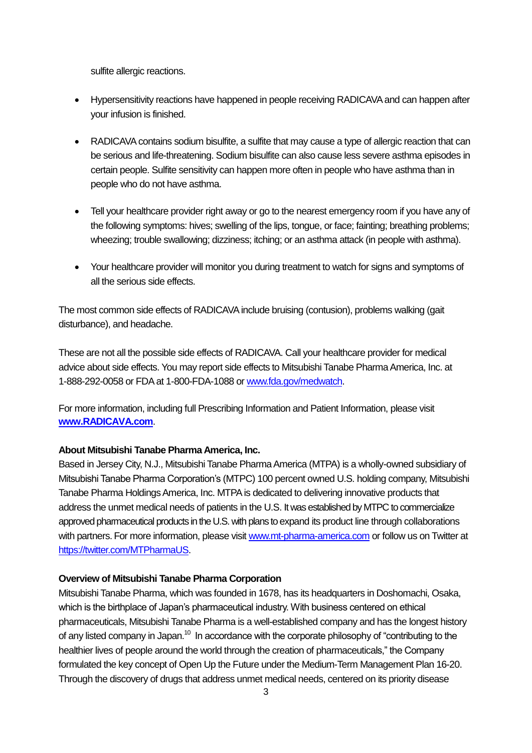sulfite allergic reactions.

- Hypersensitivity reactions have happened in people receiving RADICAVA and can happen after your infusion is finished.
- RADICAVA contains sodium bisulfite, a sulfite that may cause a type of allergic reaction that can be serious and life-threatening. Sodium bisulfite can also cause less severe asthma episodes in certain people. Sulfite sensitivity can happen more often in people who have asthma than in people who do not have asthma.
- Tell your healthcare provider right away or go to the nearest emergency room if you have any of the following symptoms: hives; swelling of the lips, tongue, or face; fainting; breathing problems; wheezing; trouble swallowing; dizziness; itching; or an asthma attack (in people with asthma).
- Your healthcare provider will monitor you during treatment to watch for signs and symptoms of all the serious side effects.

The most common side effects of RADICAVA include bruising (contusion), problems walking (gait disturbance), and headache.

These are not all the possible side effects of RADICAVA. Call your healthcare provider for medical advice about side effects. You may report side effects to Mitsubishi Tanabe Pharma America, Inc. at 1-888-292-0058 or FDA at 1-800-FDA-1088 or [www.fda.gov/medwatch.](http://www.fda.gov/medwatch)

For more information, including full Prescribing Information and Patient Information, please visit **[www.RADICAVA.com](http://www.radicava.com/)**.

#### **About Mitsubishi Tanabe Pharma America, Inc.**

Based in Jersey City, N.J., Mitsubishi Tanabe Pharma America (MTPA) is a wholly-owned subsidiary of Mitsubishi Tanabe Pharma Corporation's (MTPC) 100 percent owned U.S. holding company, Mitsubishi Tanabe Pharma Holdings America, Inc. MTPA is dedicated to delivering innovative products that address the unmet medical needs of patients in the U.S. It was established by MTPC to commercialize approved pharmaceutical products in the U.S. with plans to expand its product line through collaborations with partners. For more information, please visit [www.mt-pharma-america.com](http://www.mt-pharma-america.com/) or follow us on Twitter at [https://twitter.com/MTPharmaUS.](https://twitter.com/MTPharmaUS)

#### **Overview of Mitsubishi Tanabe Pharma Corporation**

Mitsubishi Tanabe Pharma, which was founded in 1678, has its headquarters in Doshomachi, Osaka, which is the birthplace of Japan's pharmaceutical industry. With business centered on ethical pharmaceuticals, Mitsubishi Tanabe Pharma is a well-established company and has the longest history of any listed company in Japan.<sup>10</sup> In accordance with the corporate philosophy of "contributing to the healthier lives of people around the world through the creation of pharmaceuticals," the Company formulated the key concept of Open Up the Future under the Medium-Term Management Plan 16-20. Through the discovery of drugs that address unmet medical needs, centered on its priority disease